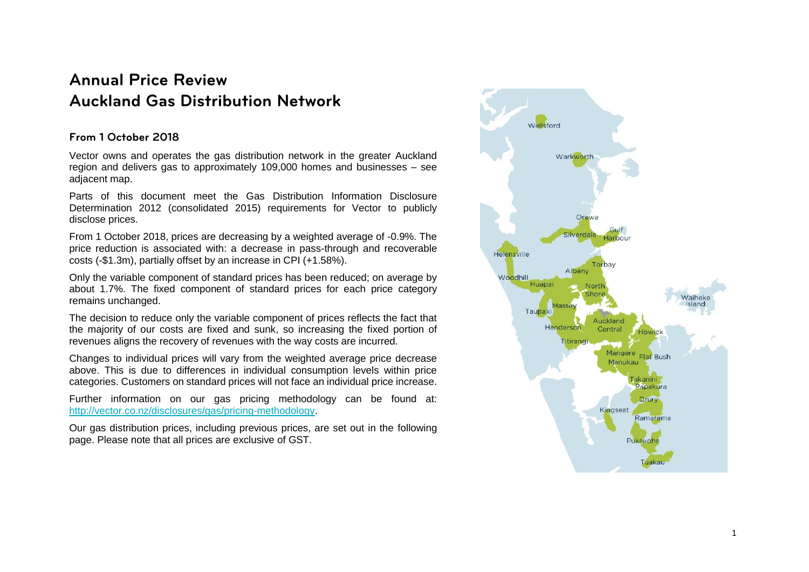# **Annual Price Review Auckland Gas Distribution Network**

## **From 1 October 2018**

Vector owns and operates the gas distribution network in the greater Auckland region and delivers gas to approximately 109,000 homes and businesses – see adjacent map.

Parts of this document meet the Gas Distribution Information Disclosure Determination 2012 (consolidated 2015) requirements for Vector to publicly disclose prices.

From 1 October 2018, prices are decreasing by a weighted average of -0.9%. The price reduction is associated with: a decrease in pass-through and recoverable costs (-\$1.3m), partially offset by an increase in CPI (+1.58%).

Only the variable component of standard prices has been reduced; on average by about 1.7%. The fixed component of standard prices for each price category remains unchanged.

The decision to reduce only the variable component of prices reflects the fact that the majority of our costs are fixed and sunk, so increasing the fixed portion of revenues aligns the recovery of revenues with the way costs are incurred.

Changes to individual prices will vary from the weighted average price decrease above. This is due to differences in individual consumption levels within price categories. Customers on standard prices will not face an individual price increase.

Further information on our gas pricing methodology can be found at: [http://vector.co.nz/disclosures/gas/pricing-methodology.](http://vector.co.nz/disclosures/gas/pricing-methodology)

Our gas distribution prices, including previous prices, are set out in the following page. Please note that all prices are exclusive of GST.